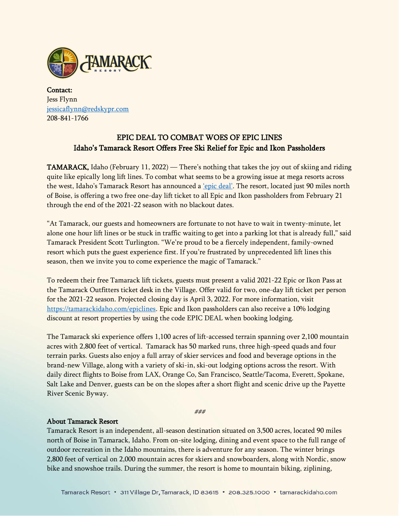

Contact: Jess Flynn [jessicaflynn@redskypr.com](mailto:jessicaflynn@redskypr.com) 208-841-1766

## EPIC DEAL TO COMBAT WOES OF EPIC LINES Idaho's Tamarack Resort Offers Free Ski Relief for Epic and Ikon Passholders

TAMARACK, Idaho (February 11, 2022) — There's nothing that takes the joy out of skiing and riding quite like epically long lift lines. To combat what seems to be a growing issue at mega resorts across the west, Idaho's Tamarack Resort has announced a 'epic [deal'](https://tamarackidaho.com/epiclines). The resort, located just 90 miles north of Boise, is offering a two free one-day lift ticket to all Epic and Ikon passholders from February 21 through the end of the 2021-22 season with no blackout dates.

"At Tamarack, our guests and homeowners are fortunate to not have to wait in twenty-minute, let alone one hour lift lines or be stuck in traffic waiting to get into a parking lot that is already full," said Tamarack President Scott Turlington. "We're proud to be a fiercely independent, family-owned resort which puts the guest experience first. If you're frustrated by unprecedented lift lines this season, then we invite you to come experience the magic of Tamarack."

To redeem their free Tamarack lift tickets, guests must present a valid 2021-22 Epic or Ikon Pass at the Tamarack Outfitters ticket desk in the Village. Offer valid for two, one-day lift ticket per person for the 2021-22 season. Projected closing day is April 3, 2022. For more information, visit [https://tamarackidaho.com/epiclines.](https://tamarackidaho.com/epiclines) Epic and Ikon passholders can also receive a 10% lodging discount at resort properties by using the code EPIC DEAL when booking lodging.

The Tamarack ski experience offers 1,100 acres of lift-accessed terrain spanning over 2,100 mountain acres with 2,800 feet of vertical. Tamarack has 50 marked runs, three high-speed quads and four terrain parks. Guests also enjoy a full array of skier services and food and beverage options in the brand-new Village, along with a variety of ski-in, ski-out lodging options across the resort. With daily direct flights to Boise from LAX, Orange Co, San Francisco, Seattle/Tacoma, Everett, Spokane, Salt Lake and Denver, guests can be on the slopes after a short flight and scenic drive up the Payette River Scenic Byway.

###

## About Tamarack Resort

Tamarack Resort is an independent, all-season destination situated on 3,500 acres, located 90 miles north of Boise in Tamarack, Idaho. From on-site lodging, dining and event space to the full range of outdoor recreation in the Idaho mountains, there is adventure for any season. The winter brings 2,800 feet of vertical on 2,000 mountain acres for skiers and snowboarders, along with Nordic, snow bike and snowshoe trails. During the summer, the resort is home to mountain biking, ziplining,